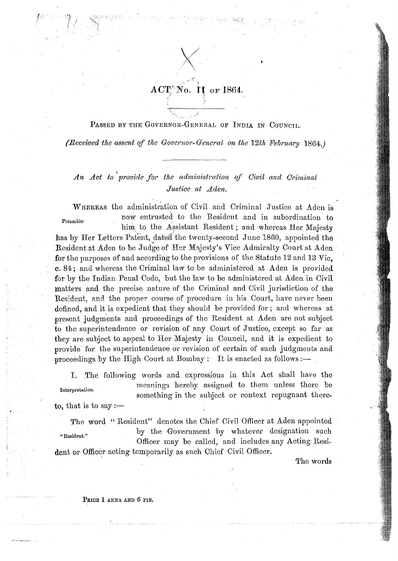

PASSED BY THE GOVERNOR-GENERAL OF INDIA IN COUNCIL.

(Received the assent of the Governor-General on the 12th February 1864.)

An Act to provide for the administration of Civil and Criminal Justice at Aden.

WHEREAS the administration of Civil and Criminal Justice at Aden is now entrusted to the Resident and in subordination to Preamble<sup>.</sup> him to the Assistant Resident; and whereas Her Majesty has by Her Letters Patent, dated the twenty-second June 1860, appointed the Resident at Aden to be Judge of Her Majesty's Vice Admiralty Court at Aden for the purposes of and according to the provisions of the Statute 12 and 13 Vic, c. 84; and whereas the Criminal law to be administered at Aden is provided for by the Indian Penal Code, but the law to be administered at Aden in Civil matters and the precise nature of the Criminal and Civil jurisdiction of the Resident, and the proper course of procedure in his Court, have never been defined, and it is expedient that they should be provided for; and whereas at present judgments and proceedings of the Resident at Aden are not subject to the superintendence or revision of any Court of Justice, except so far as they are subject to appeal to Her Majesty in Council, and it is expedient to provide for the superintendence or revision of certain of such judgments and proceedings by the High Court at Bombay: It is enacted as follows :-

I. The following words and expressions in this Act shall have the meanings hereby assigned to them unless there be Interpretation. something in the subject or context repugnant thereto, that is to say :—

The word "Resident" denotes the Chief Civil Officer at Aden appointed by the Government by whatever designation such "Resident." Officer may be called, and includes any Acting Resident or Officer acting temporarily as such Chief Civil Officer.

The words

PRICE 1 ANNA AND 6 PIE.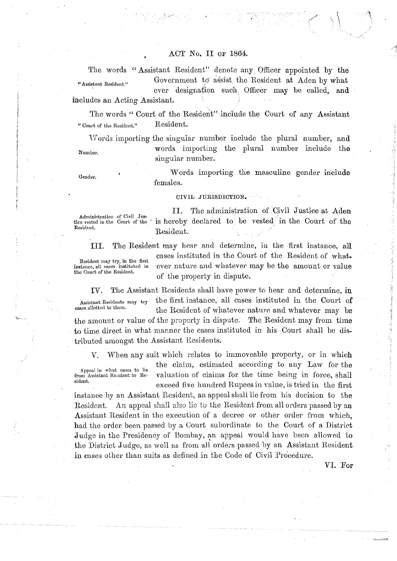## ACT No. I1 OF 1864. **<sup>6</sup>**

The words "Assistant Resident" denote any Officer appointed by the "Assistant Resident." Government to assist the Resident at Aden by what ever designation such Officer may be called, and includes an Acting Assistant.

The words "Court of the Resident" include the Court of any Assistant " Court of the Resident." Resident.

Words importing the singular number include the plural number, and Number. words importing the plural number include the singular number.

Gender. **Words** importing the masculine gender include females.

#### CIVIL JURISDICTION.

Administration of Civil Jus-<br>tice vested in the Court of the

11. The administration of 'Civil Justice at Aden  $t_{\text{tive}}$  is hereby declared to be vested in the Court of the Resident Resident. Resident.

Resident may try, in the first<br>instance, all cases instituted in<br>the Court of the Resident.

111. The Resident may hear and determine, in the first instance, all cases instituted in the Court of the Resident of what. ever nature and whatever may be the amount or value of the property in dispute.

IV. The Assistant Residents shall have power to hear and determine, in Assistant Residents may try the first instance, all cases instituted in the Court of  $\epsilon$  cases allotted to them. the Resident of whatever nature and whatever may be the amount or value of the property in dispute. The Resident may from time to time direct in what nianner the cases instituted **in** his Court shall be distributed amongst the Assistant Residents.

V. When any suit which relates to immoveable property, or in which the claim, estimated according to any Law for the Appeal in what cases to lie<br>from Assistant Resident to Refrom Assistant Resident to Re- valuation of claims for the time being in force, shall exceed five hundred Rupees in value, is tried in the first

instance by an Assistant Resident, an appeal shall lie from his decision to the Resident. An appeal shall also lie to the Resident from all orders passed by an Assistant Resident in the execution of a decree or other order from which, had the order been passed by a Court subordinate to the Court of a District Judge in the Presidency of Bombay, an appeal would have been allowed to the District Judge, as well as from all orders passed by an Assistant Resident in cases other than suits as defined in the Code of Civil Procedure.

VI. For

ر<br>1986ع ۾ پارٽي پيدائش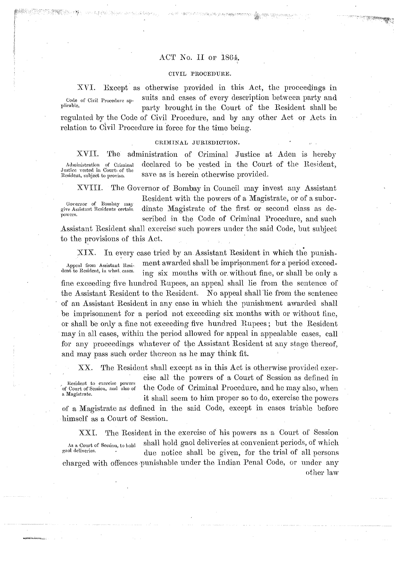## ACT No. II or 1864.

#### CIVIL PROCEDURE.

Code of Civil Procedure applicable.

XVI.

Except as otherwise provided in this Act, the proceedings in suits and cases of every description between party and party brought in the Court of the Resident shall be

**A MENGAN** 

regulated by the Code of Civil Procedure, and by any other Act or Acts in relation to Civil Procedure in force for the time being.

### CRIMINAL JURISDICTION.

XVII. The administration of Criminal Justice at Aden is hereby declared to be vested in the Court of the Resident, Administration of Criminal Justice vested in Court of the save as is herein otherwise provided. Resident, subject to proviso.

Governor of Bombay may give Assistant Residents certain ..<br>powers.

XVIII.

The Governor of Bombay in Council may invest any Assistant Resident with the powers of a Magistrate, or of a subordinate Magistrate of the first or second class as described in the Code of Criminal Procedure, and such

Assistant Resident shall exercise such powers under the said Code, but subject to the provisions of this Act.

In every case tried by an Assistant Resident in which the punish- $XIX.$ ment awarded shall be imprisonment for a period exceed-Appeal from Assistant Resident to Resident, in what cases. ing six months with or without fine, or shall be only a fine exceeding five hundred Rupees, an appeal shall lie from the sentence of the Assistant Resident to the Resident. No appeal shall lie from the sentence of an Assistant Resident in any case in which the punishment awarded shall be imprisonment for a period not exceeding six months with or without fine, or shall be only a fine not exceeding five hundred Rupees; but the Resident may in all cases, within the period allowed for appeal in appealable cases, call for any proceedings whatever of the Assistant Resident at any stage thereof, and may pass such order thereon as he may think fit.

 $XX.$ The Resident shall except as in this Act is otherwise provided exer-

Resident to exercise powers of Court of Session, and also of a Magistrate.

cise all the powers of a Court of Session as defined in the Code of Criminal Procedure, and he may also, when it shall seem to him proper so to do, exercise the powers

of a Magistrate as defined in the said Code, except in cases triable before himself as a Court of Session.

The Resident in the exercise of his powers as a Court of Session XXI. shall hold gaol deliveries at convenient periods, of which As a Court of Session, to hold gaol deliveries. due notice shall be given, for the trial of all persons charged with offences punishable under the Indian Penal Code, or under any other law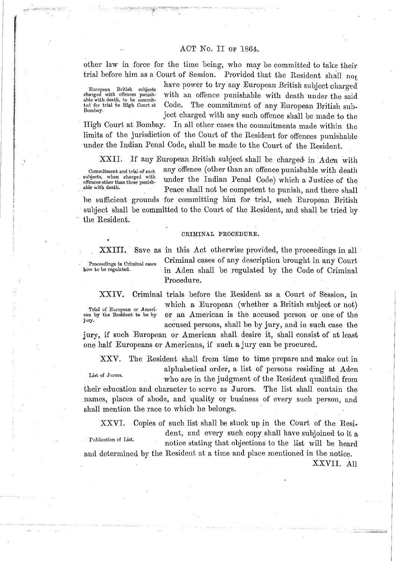# ACT No. II OF 1864.

other law in force for the time being, who may be committed to take their trial before him as a Court of Session. Provided that the Resident shall not

European British charged with offences able with death, to be committed for trial to High Court at Bombay.

have power to try any European British subject charged with an offence punishable with death under the said Code. The commitment of any European British subject charged with any such offence shall be made to the

High Court at Bombay. In all other cases the commitments made within the limits of the jurisdiction of the Court of the Resident for offences punishable under the Indian Penal Code, sliall be made to the Court of the Resident.

XXII. If any European British subject shall be charged in Aden with

subjects, when charged with<br>offences other than those punish-

Commitment and trial of such any offence (other than an offence punishable with death subjects, when charged with under the Indian Penal Code) which a Justice of the same with death. Peace shall not be competent to punish, and there shall

be sufficient grounds for committing him for trial, such European British subject shall be committed to the Court of the Resident, and shall be tried by the Resident.

### CRIMINAL PROCEDURE.

,

XXIII. Save as in this Act otherwise provided, the proceedings in all Proceedings in Criminal cases of any description brought in any Court<br>how to be regulated. in Aden shall be regulated by the Code of Criminal in Aden shall be regulated by the Code of Criminal Procedure.

XXIV. Criminal trials before the Resident as a Court of Session, in which a European (whether a British subject or not) ean by the Resident to be by or an American is the accused person or one of the accused persons, shall be by jury, and in such case the

jury, if such European or American shall desire it, shall consist of at least one half Europeans or Americans, if such a jury can be procured.

XXV. The Resident shall from time to time prepare and make out in alphabetical order, a list of persons residing at Aden

List of Jurors.<br>who are in the judgment of the Resident qualified from their education and character to serve as Jurors. The list shall contain the names, places of abode, and quality or business of every such person, and shall mention the race to which he belongs.

XXVI. Copies of such list shall be stuck up in the Court of the Resident, and every such copy shall have subjoined to it **a**  Publication of List. notice stating that objections to the list will be heard and determined by the Resident at a time and place mentioned in the notice.

Trial of European or **Ameri-**

jurv.

XXVII. All